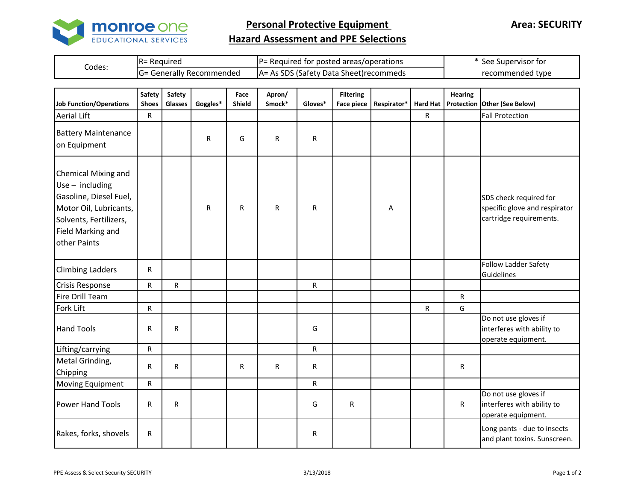

**Personal Protective Equipment** 

**Area: SECURITY**

## **Hazard Assessment and PPE Selections**

| Codes: | IR= Reauired            | IP= Required for posted areas/operations       | See Supervisor for |  |  |
|--------|-------------------------|------------------------------------------------|--------------------|--|--|
|        | = Generally Recommended | <b>IA= As SDS (Safety Data Sheet)recommeds</b> | recommended type   |  |  |

| <b>Job Function/Operations</b>                                                                                                                              | Safety<br><b>Shoes</b> | Safety<br>Glasses | Goggles*     | Face<br>Shield | Apron/<br>Smock* | Gloves*      | <b>Filtering</b><br><b>Face piece</b> | Respirator* |   | <b>Hearing</b> | Hard Hat   Protection Other (See Below)                                            |
|-------------------------------------------------------------------------------------------------------------------------------------------------------------|------------------------|-------------------|--------------|----------------|------------------|--------------|---------------------------------------|-------------|---|----------------|------------------------------------------------------------------------------------|
| <b>Aerial Lift</b>                                                                                                                                          | R                      |                   |              |                |                  |              |                                       |             | R |                | <b>Fall Protection</b>                                                             |
| <b>Battery Maintenance</b><br>on Equipment                                                                                                                  |                        |                   | R            | G              | $\mathsf R$      | $\mathsf{R}$ |                                       |             |   |                |                                                                                    |
| Chemical Mixing and<br>$Use - including$<br>Gasoline, Diesel Fuel,<br>Motor Oil, Lubricants,<br>Solvents, Fertilizers,<br>Field Marking and<br>other Paints |                        |                   | $\mathsf{R}$ | R.             | R                | $\mathsf{R}$ |                                       | Α           |   |                | SDS check required for<br>specific glove and respirator<br>cartridge requirements. |
| <b>Climbing Ladders</b>                                                                                                                                     | $\mathsf R$            |                   |              |                |                  |              |                                       |             |   |                | Follow Ladder Safety<br>Guidelines                                                 |
| <b>Crisis Response</b>                                                                                                                                      | ${\sf R}$              | ${\sf R}$         |              |                |                  | ${\sf R}$    |                                       |             |   |                |                                                                                    |
| Fire Drill Team                                                                                                                                             |                        |                   |              |                |                  |              |                                       |             |   | ${\sf R}$      |                                                                                    |
| Fork Lift                                                                                                                                                   | R                      |                   |              |                |                  |              |                                       |             | R | G              |                                                                                    |
| <b>Hand Tools</b>                                                                                                                                           | R                      | ${\sf R}$         |              |                |                  | G            |                                       |             |   |                | Do not use gloves if<br>interferes with ability to<br>operate equipment.           |
| Lifting/carrying                                                                                                                                            | ${\sf R}$              |                   |              |                |                  | R            |                                       |             |   |                |                                                                                    |
| Metal Grinding,<br>Chipping                                                                                                                                 | $\mathsf R$            | ${\sf R}$         |              | R.             | R                | $\mathsf R$  |                                       |             |   | R              |                                                                                    |
| Moving Equipment                                                                                                                                            | R                      |                   |              |                |                  | ${\sf R}$    |                                       |             |   |                |                                                                                    |
| <b>Power Hand Tools</b>                                                                                                                                     | $\mathsf R$            | ${\sf R}$         |              |                |                  | G            | ${\sf R}$                             |             |   | R              | Do not use gloves if<br>interferes with ability to<br>operate equipment.           |
| Rakes, forks, shovels                                                                                                                                       | $\mathsf R$            |                   |              |                |                  | $\mathsf R$  |                                       |             |   |                | Long pants - due to insects<br>and plant toxins. Sunscreen.                        |